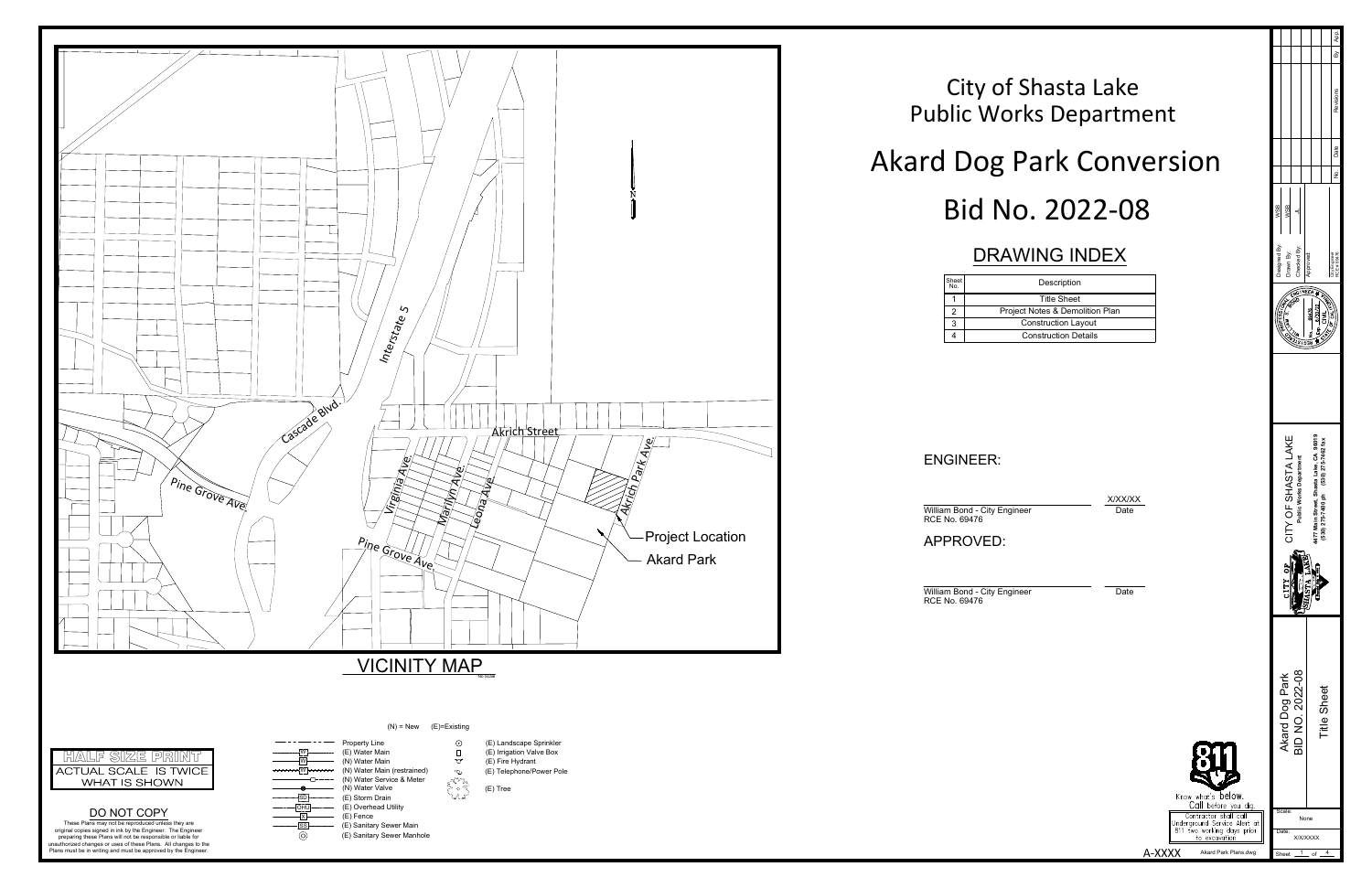



| Description                   |  |
|-------------------------------|--|
| <b>Title Sheet</b>            |  |
| oject Notes & Demolition Plan |  |
| <b>Construction Layout</b>    |  |
| <b>Construction Details</b>   |  |

A-XXXX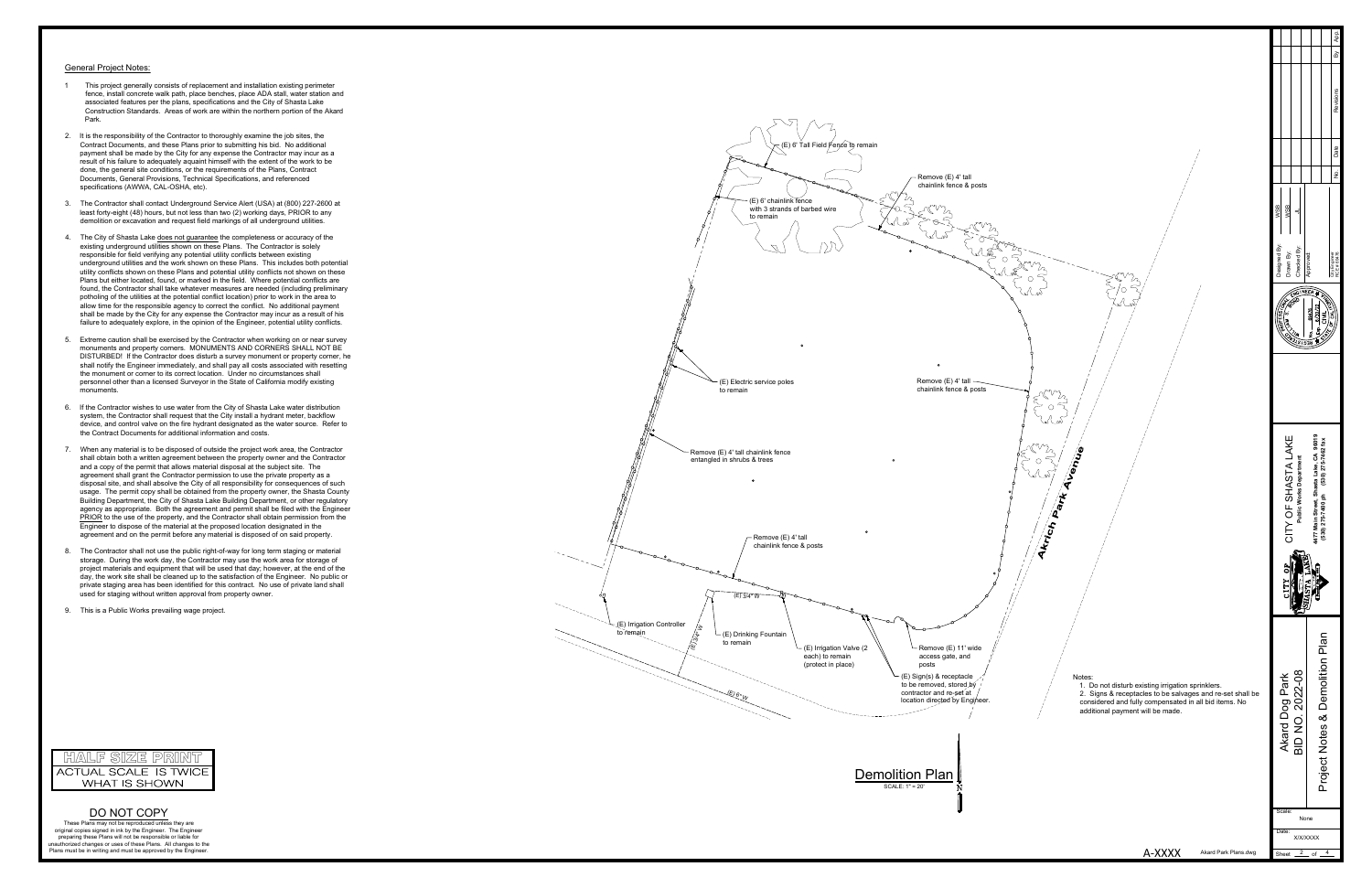- 
- 
- 
- 
- 
- 
- 
- 
- 



DO NOT COPY<br>These Plans may not be reproduced unless they are original copies signed in ink by the Engineer. The Engineer<br>praining these Plans will not be responsible or liable for the<br>unauthorized changes or uses of these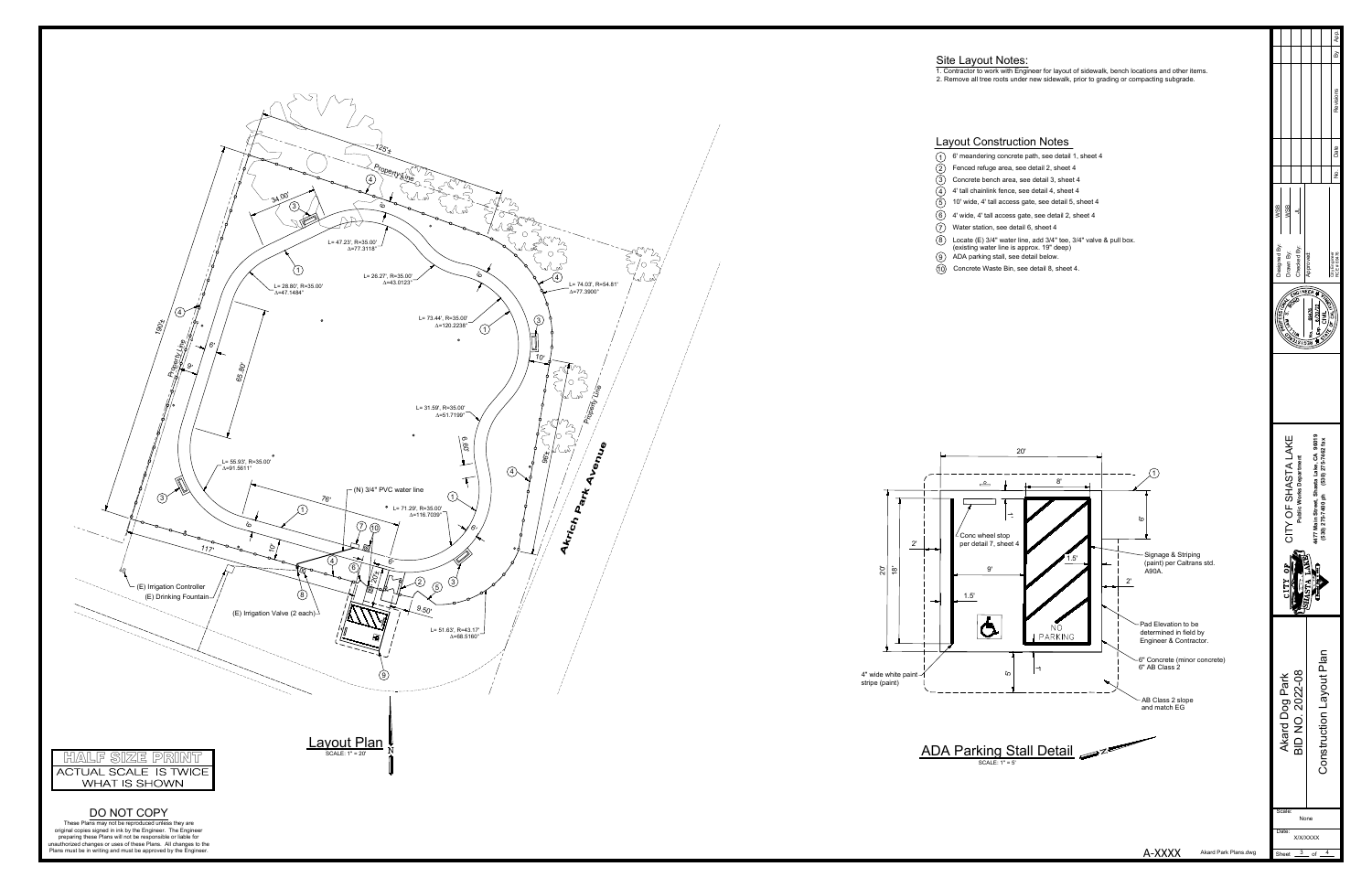

- 
- 
- 
- 
- 
- 
- 
- 



L= 74.03', R=54.81' $A = 77.3900^{\circ}$ 2) (5) 3)<br> $9.50'$ <br>L= 51.63', R=43.17'  $\triangle$  68.5160° L= 47.23', R=35.00' D=77.34', R=35.00' D=77.44', R=35.00' D=120', R=35.00' D=120', R=35.00' D=120', R=35.00' D=51.7199° C=77.39', R=35.00' D=116.7039° L= 73.44', R=35.00' D=51.7199' D=51.7199' D=51.7199' D=51.7199' D=51.7 DO NOT COPY<br>These Plans may not be reproduced unless they are<br>original copies signed in ink by the Engineer. The Engineer<br>praining these Plans will not be responsible or liable for<br>unauthorized changes or uses of these Pla SCALE: 1" = 20' (E) Irrigation Controller (E) Drinking Fountain A-XXXXHALF SIZE PRINCE<br>ACTUAL SCALE IS TWOE<br>WHAT IS SHOWN<br>DO NOT COPY<br>These Party of the System is to provide the party of the system in the state is the state in the state in the state in the state in the state in the state in Property Line Jenne 1 10' wide, 4' tall access gate, see detail 5, sheet 4 (E) Irrigation Valve (2 each)**Akrich Park A**  $\langle$ 1  $\sigma$  $\overline{O}$  $\overline{2}$ 3 $\left(3\right)$  $\circled{3}$  $\bigcirc$  $\circled{4}$ L= 47.23', R=35.00'<br> $\triangle$ =77.3118°  $\overline{\bigoplus}$ 45 $\odot$  $\odot$  60 10'65.80'34.00' $\sqrt{8}$  $^{9.50}$ 20'±117'190'± $^{125'}$ 96'±76'ة<br>0 6'6'**ن**َ 10'9'6' Water station, see detail 6, sheet 4 Proent Line Property Line  $\mathcal{A}$ 8(N) 3/4" PVC water line $(9)$ **Layout Plan** 6'<sup>10</sup> Concrete Waste Bin, see detail 8, sheet 4. <sup>10</sup>